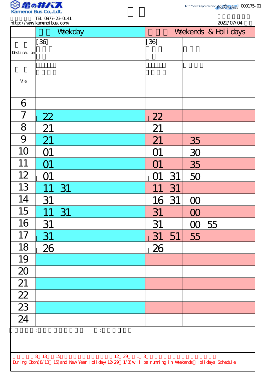

TEL 0977-23-0141

|                                                                                                    | http://www.kanenoi.bus.com/<br>2022/07/04 |                       |    |          |  |  |
|----------------------------------------------------------------------------------------------------|-------------------------------------------|-----------------------|----|----------|--|--|
|                                                                                                    | Weekday                                   | Weekends & Hol i days |    |          |  |  |
|                                                                                                    | $[36]$                                    | $[36]$                |    |          |  |  |
| Desti nati on                                                                                      |                                           |                       |    |          |  |  |
|                                                                                                    |                                           |                       |    |          |  |  |
| Vi a                                                                                               |                                           |                       |    |          |  |  |
|                                                                                                    |                                           |                       |    |          |  |  |
| 6                                                                                                  |                                           |                       |    |          |  |  |
| 7                                                                                                  | 22                                        | 22                    |    |          |  |  |
| 8                                                                                                  | 21                                        | 21                    |    |          |  |  |
| 9                                                                                                  | 21                                        | 21                    |    | 35       |  |  |
| 10                                                                                                 | O1                                        | O1                    |    | 30       |  |  |
| 11                                                                                                 |                                           | O1                    |    | 35       |  |  |
| 12                                                                                                 | O1                                        |                       | 31 | 50       |  |  |
| 13                                                                                                 | 11<br>31                                  | 11                    | 31 |          |  |  |
| 14                                                                                                 | 31                                        | 16 31                 |    | $\infty$ |  |  |
| 15                                                                                                 | 11<br>31                                  | 31                    |    | $\infty$ |  |  |
| 16                                                                                                 | 31                                        | 31                    |    | 00 55    |  |  |
| 17                                                                                                 | 31                                        | 31                    | 51 | 55       |  |  |
| 18                                                                                                 | 26                                        | 26                    |    |          |  |  |
| 19                                                                                                 |                                           |                       |    |          |  |  |
| $\overline{20}$                                                                                    |                                           |                       |    |          |  |  |
| 21                                                                                                 |                                           |                       |    |          |  |  |
| $\frac{22}{23}$                                                                                    |                                           |                       |    |          |  |  |
|                                                                                                    |                                           |                       |    |          |  |  |
| $\overline{24}$                                                                                    |                                           |                       |    |          |  |  |
|                                                                                                    | $\ddot{\cdot}$                            |                       |    |          |  |  |
|                                                                                                    |                                           |                       |    |          |  |  |
| 8 13 15<br>$12 \t29 \t13$                                                                          |                                           |                       |    |          |  |  |
| During Cbon(8/13 15) and New Year Holiday(12/29 1/3) will be running in Weekends Holidays Schedule |                                           |                       |    |          |  |  |